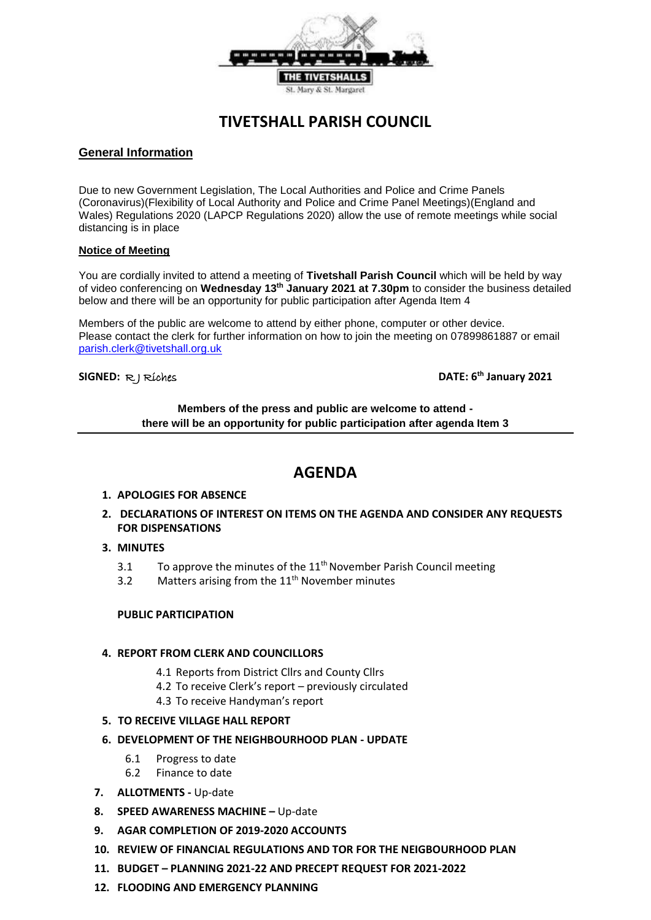

# **TIVETSHALL PARISH COUNCIL**

## **General Information**

Due to new Government Legislation, The Local Authorities and Police and Crime Panels (Coronavirus)(Flexibility of Local Authority and Police and Crime Panel Meetings)(England and Wales) Regulations 2020 (LAPCP Regulations 2020) allow the use of remote meetings while social distancing is in place

#### **Notice of Meeting**

You are cordially invited to attend a meeting of **Tivetshall Parish Council** which will be held by way of video conferencing on **Wednesday 13th January 2021 at 7.30pm** to consider the business detailed below and there will be an opportunity for public participation after Agenda Item 4

Members of the public are welcome to attend by either phone, computer or other device. Please contact the clerk for further information on how to join the meeting on 07899861887 or email parish.clerk@tivetshall.org.uk

#### **SIGNED:** R J Riches **DATE: 6**

**th January 2021**

### **Members of the press and public are welcome to attend there will be an opportunity for public participation after agenda Item 3**

## **AGENDA**

- **1. APOLOGIES FOR ABSENCE**
- **2. DECLARATIONS OF INTEREST ON ITEMS ON THE AGENDA AND CONSIDER ANY REQUESTS FOR DISPENSATIONS**
- **3. MINUTES**
	- 3.1 To approve the minutes of the  $11<sup>th</sup>$  November Parish Council meeting
	- 3.2 Matters arising from the  $11<sup>th</sup>$  November minutes

#### **PUBLIC PARTICIPATION**

#### **4. REPORT FROM CLERK AND COUNCILLORS**

- 4.1 Reports from District Cllrs and County Cllrs
- 4.2 To receive Clerk's report previously circulated
- 4.3 To receive Handyman's report

#### **5. TO RECEIVE VILLAGE HALL REPORT**

- **6. DEVELOPMENT OF THE NEIGHBOURHOOD PLAN - UPDATE**
	- 6.1 Progress to date
	- 6.2 Finance to date
- **7. ALLOTMENTS -** Up-date
- **8. SPEED AWARENESS MACHINE –** Up-date
- **9. AGAR COMPLETION OF 2019-2020 ACCOUNTS**
- **10. REVIEW OF FINANCIAL REGULATIONS AND TOR FOR THE NEIGBOURHOOD PLAN**
- **11. BUDGET – PLANNING 2021-22 AND PRECEPT REQUEST FOR 2021-2022**
- **12. FLOODING AND EMERGENCY PLANNING**